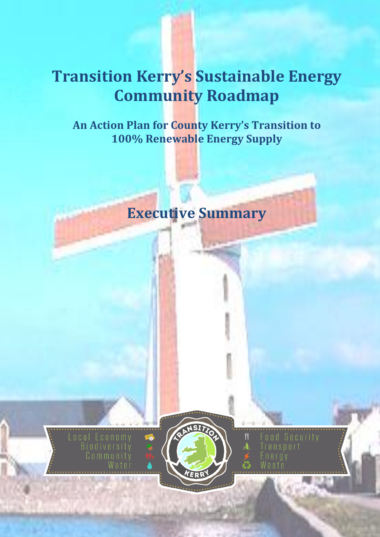# **Transition Kerry's Sustainable Energy Community Roadmap**

**An Action Plan for County Kerry's Transition to 100% Renewable Energy Supply**

## **Executive Summary**





ransport

Ħ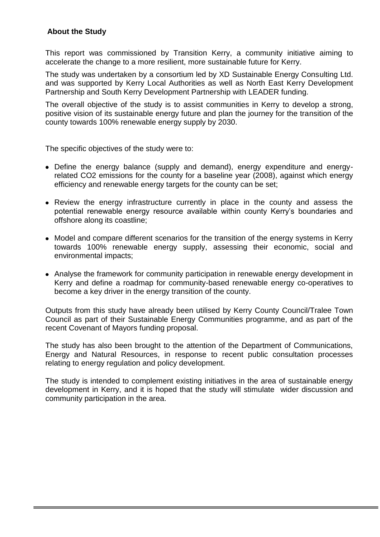#### **About the Study**

This report was commissioned by Transition Kerry, a community initiative aiming to accelerate the change to a more resilient, more sustainable future for Kerry.

The study was undertaken by a consortium led by XD Sustainable Energy Consulting Ltd. and was supported by Kerry Local Authorities as well as North East Kerry Development Partnership and South Kerry Development Partnership with LEADER funding.

The overall objective of the study is to assist communities in Kerry to develop a strong, positive vision of its sustainable energy future and plan the journey for the transition of the county towards 100% renewable energy supply by 2030.

The specific objectives of the study were to:

- Define the energy balance (supply and demand), energy expenditure and energyrelated CO2 emissions for the county for a baseline year (2008), against which energy efficiency and renewable energy targets for the county can be set;
- Review the energy infrastructure currently in place in the county and assess the potential renewable energy resource available within county Kerry's boundaries and offshore along its coastline;
- Model and compare different scenarios for the transition of the energy systems in Kerry towards 100% renewable energy supply, assessing their economic, social and environmental impacts;
- Analyse the framework for community participation in renewable energy development in Kerry and define a roadmap for community-based renewable energy co-operatives to become a key driver in the energy transition of the county.

Outputs from this study have already been utilised by Kerry County Council/Tralee Town Council as part of their Sustainable Energy Communities programme, and as part of the recent Covenant of Mayors funding proposal.

The study has also been brought to the attention of the Department of Communications, Energy and Natural Resources, in response to recent public consultation processes relating to energy regulation and policy development.

The study is intended to complement existing initiatives in the area of sustainable energy development in Kerry, and it is hoped that the study will stimulate wider discussion and community participation in the area.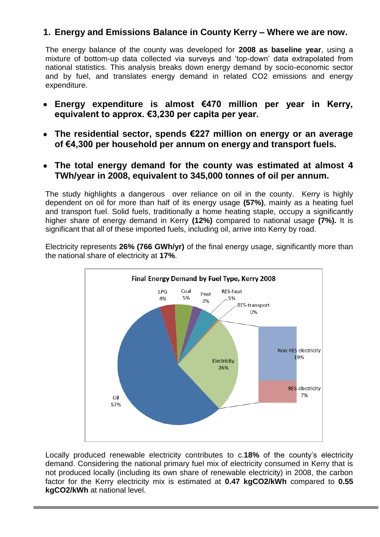## **1. Energy and Emissions Balance in County Kerry – Where we are now.**

The energy balance of the county was developed for **2008 as baseline year**, using a mixture of bottom-up data collected via surveys and 'top-down' data extrapolated from national statistics. This analysis breaks down energy demand by socio-economic sector and by fuel, and translates energy demand in related CO2 emissions and energy expenditure.

- **Energy expenditure is almost €470 million per year in Kerry, equivalent to approx. €3,230 per capita per year.**
- **The residential sector, spends €227 million on energy or an average of €4,300 per household per annum on energy and transport fuels.**
- **The total energy demand for the county was estimated at almost 4**   $\bullet$ **TWh/year in 2008, equivalent to 345,000 tonnes of oil per annum.**

The study highlights a dangerous over reliance on oil in the county. Kerry is highly dependent on oil for more than half of its energy usage **(57%)**, mainly as a heating fuel and transport fuel. Solid fuels, traditionally a home heating staple, occupy a significantly higher share of energy demand in Kerry **(12%)** compared to national usage **(7%).** It is significant that all of these imported fuels, including oil, arrive into Kerry by road.

Electricity represents **26% (766 GWh/yr)** of the final energy usage, significantly more than the national share of electricity at **17%**.



Locally produced renewable electricity contributes to c.**18%** of the county's electricity demand. Considering the national primary fuel mix of electricity consumed in Kerry that is not produced locally (including its own share of renewable electricity) in 2008, the carbon factor for the Kerry electricity mix is estimated at **0.47 kgCO2/kWh** compared to **0.55 kgCO2/kWh** at national level.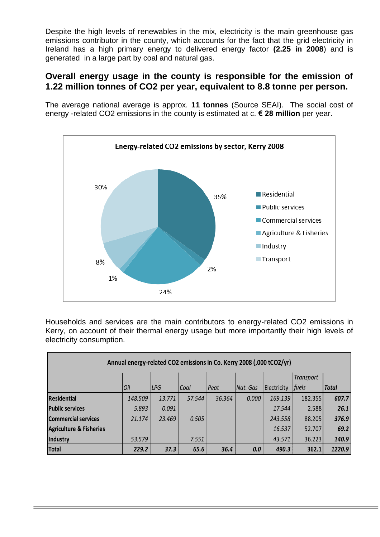Despite the high levels of renewables in the mix, electricity is the main greenhouse gas emissions contributor in the county, which accounts for the fact that the grid electricity in Ireland has a high primary energy to delivered energy factor **(2.25 in 2008**) and is generated in a large part by coal and natural gas.

### **Overall energy usage in the county is responsible for the emission of 1.22 million tonnes of CO2 per year, equivalent to 8.8 tonne per person.**

The average national average is approx. **11 tonnes** (Source SEAI). The social cost of energy -related CO2 emissions in the county is estimated at c. **€ 28 million** per year.



Households and services are the main contributors to energy-related CO2 emissions in Kerry, on account of their thermal energy usage but more importantly their high levels of electricity consumption.

| Annual energy-related CO2 emissions in Co. Kerry 2008 (,000 tCO2/yr) |         |        |        |        |          |             |                  |              |
|----------------------------------------------------------------------|---------|--------|--------|--------|----------|-------------|------------------|--------------|
|                                                                      |         |        |        |        |          |             | <b>Transport</b> |              |
|                                                                      | Oil     | LPG    | Coal   | Peat   | Nat. Gas | Electricity | fuels            | <b>Total</b> |
| <b>Residential</b>                                                   | 148.509 | 13.771 | 57.544 | 36.364 | 0.000    | 169.139     | 182.355          | 607.7        |
| <b>Public services</b>                                               | 5.893   | 0.091  |        |        |          | 17.544      | 2.588            | 26.1         |
| <b>Commercial services</b>                                           | 21.174  | 23.469 | 0.505  |        |          | 243.558     | 88.205           | 376.9        |
| <b>Agriculture &amp; Fisheries</b>                                   |         |        |        |        |          | 16.537      | 52.707           | 69.2         |
| Industry                                                             | 53.579  |        | 7.551  |        |          | 43.571      | 36.223           | 140.9        |
| <b>Total</b>                                                         | 229.2   | 37.3   | 65.6   | 36.4   | 0.0      | 490.3       | 362.1            | 1220.9       |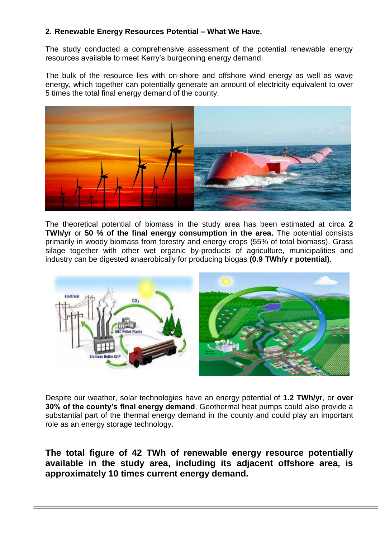#### **2. Renewable Energy Resources Potential – What We Have.**

The study conducted a comprehensive assessment of the potential renewable energy resources available to meet Kerry's burgeoning energy demand.

The bulk of the resource lies with on-shore and offshore wind energy as well as wave energy, which together can potentially generate an amount of electricity equivalent to over 5 times the total final energy demand of the county.



The theoretical potential of biomass in the study area has been estimated at circa **2 TWh/yr** or **50 % of the final energy consumption in the area.** The potential consists primarily in woody biomass from forestry and energy crops (55% of total biomass). Grass silage together with other wet organic by-products of agriculture, municipalities and industry can be digested anaerobically for producing biogas **(0.9 TWh/y r potential)**.



Despite our weather, solar technologies have an energy potential of **1.2 TWh/yr**, or **over 30% of the county's final energy demand**. Geothermal heat pumps could also provide a substantial part of the thermal energy demand in the county and could play an important role as an energy storage technology.

**The total figure of 42 TWh of renewable energy resource potentially available in the study area, including its adjacent offshore area, is approximately 10 times current energy demand.**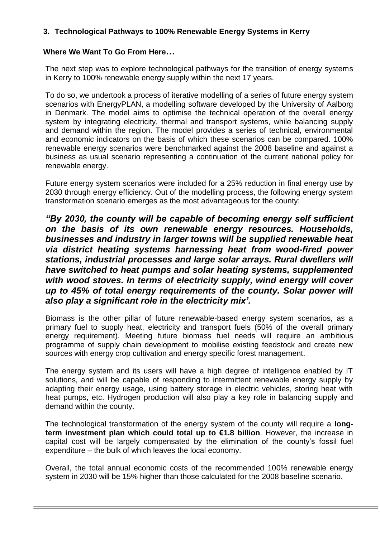#### **3. Technological Pathways to 100% Renewable Energy Systems in Kerry**

#### **Where We Want To Go From Here…**

The next step was to explore technological pathways for the transition of energy systems in Kerry to 100% renewable energy supply within the next 17 years.

To do so, we undertook a process of iterative modelling of a series of future energy system scenarios with EnergyPLAN, a modelling software developed by the University of Aalborg in Denmark. The model aims to optimise the technical operation of the overall energy system by integrating electricity, thermal and transport systems, while balancing supply and demand within the region. The model provides a series of technical, environmental and economic indicators on the basis of which these scenarios can be compared. 100% renewable energy scenarios were benchmarked against the 2008 baseline and against a business as usual scenario representing a continuation of the current national policy for renewable energy.

Future energy system scenarios were included for a 25% reduction in final energy use by 2030 through energy efficiency. Out of the modelling process, the following energy system transformation scenario emerges as the most advantageous for the county:

*"By 2030, the county will be capable of becoming energy self sufficient on the basis of its own renewable energy resources. Households, businesses and industry in larger towns will be supplied renewable heat via district heating systems harnessing heat from wood-fired power stations, industrial processes and large solar arrays. Rural dwellers will have switched to heat pumps and solar heating systems, supplemented with wood stoves. In terms of electricity supply, wind energy will cover up to 45% of total energy requirements of the county. Solar power will also play a significant role in the electricity mix'.*

Biomass is the other pillar of future renewable-based energy system scenarios, as a primary fuel to supply heat, electricity and transport fuels (50% of the overall primary energy requirement). Meeting future biomass fuel needs will require an ambitious programme of supply chain development to mobilise existing feedstock and create new sources with energy crop cultivation and energy specific forest management.

The energy system and its users will have a high degree of intelligence enabled by IT solutions, and will be capable of responding to intermittent renewable energy supply by adapting their energy usage, using battery storage in electric vehicles, storing heat with heat pumps, etc. Hydrogen production will also play a key role in balancing supply and demand within the county.

The technological transformation of the energy system of the county will require a **longterm investment plan which could total up to €1.8 billion**. However, the increase in capital cost will be largely compensated by the elimination of the county's fossil fuel expenditure – the bulk of which leaves the local economy.

Overall, the total annual economic costs of the recommended 100% renewable energy system in 2030 will be 15% higher than those calculated for the 2008 baseline scenario.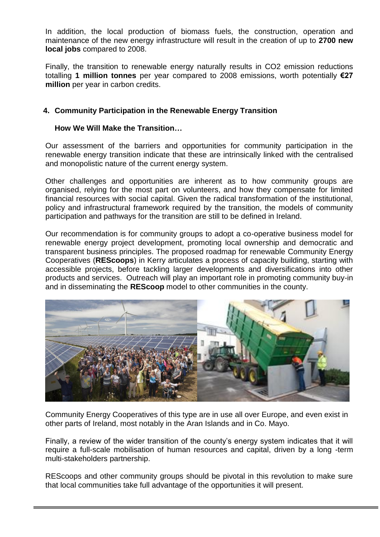In addition, the local production of biomass fuels, the construction, operation and maintenance of the new energy infrastructure will result in the creation of up to **2700 new local jobs** compared to 2008.

Finally, the transition to renewable energy naturally results in CO2 emission reductions totalling **1 million tonnes** per year compared to 2008 emissions, worth potentially **€27 million** per year in carbon credits.

#### **4. Community Participation in the Renewable Energy Transition**

#### **How We Will Make the Transition…**

Our assessment of the barriers and opportunities for community participation in the renewable energy transition indicate that these are intrinsically linked with the centralised and monopolistic nature of the current energy system.

Other challenges and opportunities are inherent as to how community groups are organised, relying for the most part on volunteers, and how they compensate for limited financial resources with social capital. Given the radical transformation of the institutional, policy and infrastructural framework required by the transition, the models of community participation and pathways for the transition are still to be defined in Ireland.

Our recommendation is for community groups to adopt a co-operative business model for renewable energy project development, promoting local ownership and democratic and transparent business principles. The proposed roadmap for renewable Community Energy Cooperatives (**REScoops**) in Kerry articulates a process of capacity building, starting with accessible projects, before tackling larger developments and diversifications into other products and services. Outreach will play an important role in promoting community buy-in and in disseminating the **REScoop** model to other communities in the county.



Community Energy Cooperatives of this type are in use all over Europe, and even exist in other parts of Ireland, most notably in the Aran Islands and in Co. Mayo.

Finally, a review of the wider transition of the county's energy system indicates that it will require a full-scale mobilisation of human resources and capital, driven by a long -term multi-stakeholders partnership.

REScoops and other community groups should be pivotal in this revolution to make sure that local communities take full advantage of the opportunities it will present.